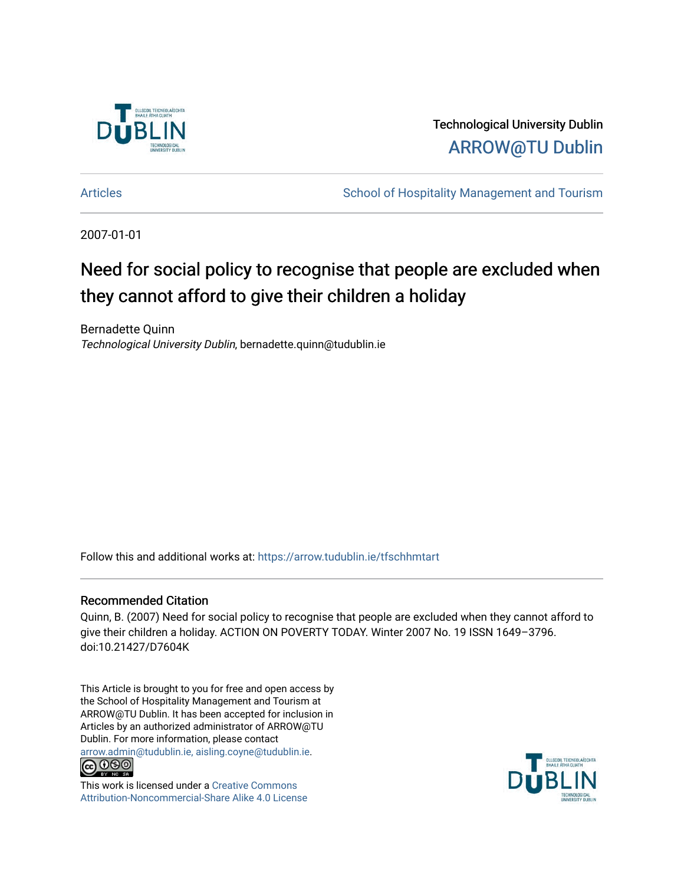

Technological University Dublin [ARROW@TU Dublin](https://arrow.tudublin.ie/) 

[Articles](https://arrow.tudublin.ie/tfschhmtart) **School of Hospitality Management and Tourism** 

2007-01-01

### Need for social policy to recognise that people are excluded when they cannot afford to give their children a holiday

Bernadette Quinn Technological University Dublin, bernadette.quinn@tudublin.ie

Follow this and additional works at: [https://arrow.tudublin.ie/tfschhmtart](https://arrow.tudublin.ie/tfschhmtart?utm_source=arrow.tudublin.ie%2Ftfschhmtart%2F36&utm_medium=PDF&utm_campaign=PDFCoverPages) 

#### Recommended Citation

Quinn, B. (2007) Need for social policy to recognise that people are excluded when they cannot afford to give their children a holiday. ACTION ON POVERTY TODAY. Winter 2007 No. 19 ISSN 1649–3796. doi:10.21427/D7604K

This Article is brought to you for free and open access by the School of Hospitality Management and Tourism at ARROW@TU Dublin. It has been accepted for inclusion in Articles by an authorized administrator of ARROW@TU Dublin. For more information, please contact [arrow.admin@tudublin.ie, aisling.coyne@tudublin.ie](mailto:arrow.admin@tudublin.ie,%20aisling.coyne@tudublin.ie).



This work is licensed under a [Creative Commons](http://creativecommons.org/licenses/by-nc-sa/4.0/) [Attribution-Noncommercial-Share Alike 4.0 License](http://creativecommons.org/licenses/by-nc-sa/4.0/)

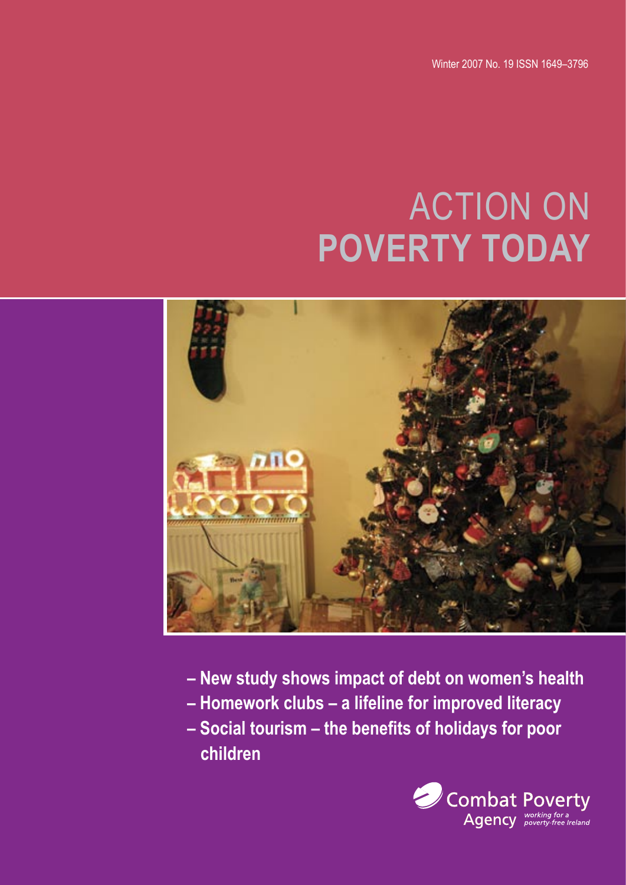Winter 2007 No. 19 ISSN 1649–3796

# ACTION ON **POVERTY TODAY**



- **New study shows impact of debt on women's health**
- **Homework clubs a lifeline for improved literacy**
- **Social tourism the benefits of holidays for poor children**

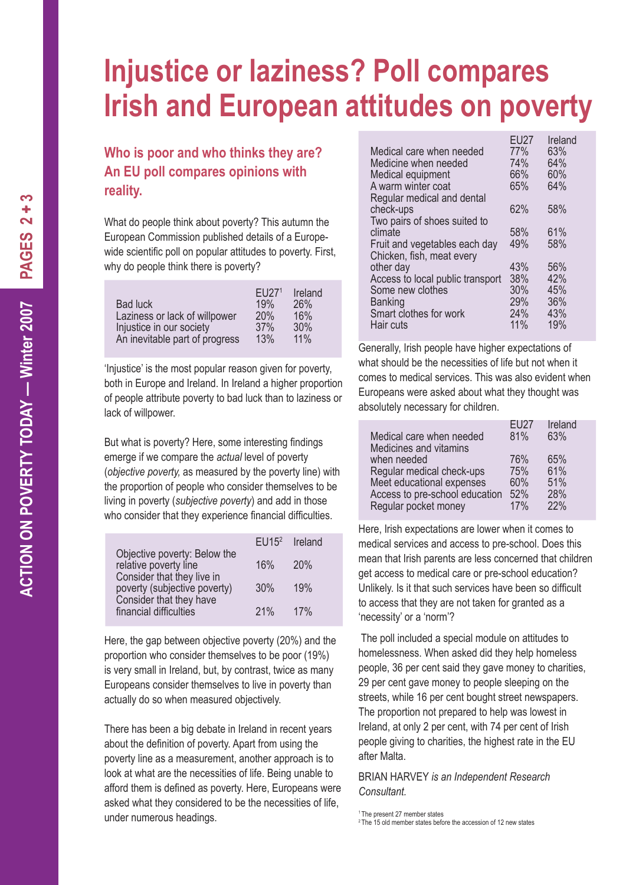### **Injustice or laziness? Poll compares Irish and European attitudes on poverty**

#### **Who is poor and who thinks they are? An EU poll compares opinions with reality.**

What do people think about poverty? This autumn the European Commission published details of a Europewide scientific poll on popular attitudes to poverty. First, why do people think there is poverty?

|                                | FI1271     | Ireland |
|--------------------------------|------------|---------|
| Bad luck                       | 19%        | 26%     |
| Laziness or lack of willpower  | <b>20%</b> | 16%     |
| Injustice in our society       | 37%        | 30%     |
| An inevitable part of progress | 13%        | 11%     |

'Injustice' is the most popular reason given for poverty, both in Europe and Ireland. In Ireland a higher proportion of people attribute poverty to bad luck than to laziness or lack of willpower.

But what is poverty? Here, some interesting findings emerge if we compare the *actual* level of poverty (*objective poverty,* as measured by the poverty line) with the proportion of people who consider themselves to be living in poverty (*subjective poverty*) and add in those who consider that they experience financial difficulties.

|                                                            | EU15 <sup>2</sup> | Ireland |
|------------------------------------------------------------|-------------------|---------|
| Objective poverty: Below the<br>relative poverty line      | 16%               | 20%     |
| Consider that they live in<br>poverty (subjective poverty) | 30%               | 19%     |
| Consider that they have<br>financial difficulties          | 21%               | 17%     |

Here, the gap between objective poverty (20%) and the proportion who consider themselves to be poor (19%) is very small in Ireland, but, by contrast, twice as many Europeans consider themselves to live in poverty than actually do so when measured objectively.

There has been a big debate in Ireland in recent years about the definition of poverty. Apart from using the poverty line as a measurement, another approach is to look at what are the necessities of life. Being unable to afford them is defined as poverty. Here, Europeans were asked what they considered to be the necessities of life, under numerous headings.

|                                  | EU27 | Ireland |
|----------------------------------|------|---------|
| Medical care when needed         | 77%  | 63%     |
| Medicine when needed             | 74%  | 64%     |
| Medical equipment                | 66%  | 60%     |
| A warm winter coat               | 65%  | 64%     |
| Regular medical and dental       |      |         |
| check-ups                        | 62%  | 58%     |
| Two pairs of shoes suited to     |      |         |
| climate                          | 58%  | 61%     |
| Fruit and vegetables each day    | 49%  | 58%     |
| Chicken, fish, meat every        |      |         |
| other day                        | 43%  | 56%     |
| Access to local public transport | 38%  | 42%     |
| Some new clothes                 | 30%  | 45%     |
| <b>Banking</b>                   | 29%  | 36%     |
| Smart clothes for work           | 24%  | 43%     |
| Hair cuts                        | 11%  | 19%     |
|                                  |      |         |

Generally, Irish people have higher expectations of what should be the necessities of life but not when it comes to medical services. This was also evident when Europeans were asked about what they thought was absolutely necessary for children.

| Medical care when needed              | EU27<br>81% | Ireland<br>63% |
|---------------------------------------|-------------|----------------|
| Medicines and vitamins<br>when needed | 76%         | 65%            |
| Regular medical check-ups             | 75%         | 61%            |
| Meet educational expenses             | 60%         | 51%            |
| Access to pre-school education        | 52%         | 28%            |
| Regular pocket money                  | 17%         | 22%            |

Here, Irish expectations are lower when it comes to medical services and access to pre-school. Does this mean that Irish parents are less concerned that children get access to medical care or pre-school education? Unlikely. Is it that such services have been so difficult to access that they are not taken for granted as a 'necessity' or a 'norm'?

 The poll included a special module on attitudes to homelessness. When asked did they help homeless people, 36 per cent said they gave money to charities, 29 per cent gave money to people sleeping on the streets, while 16 per cent bought street newspapers. The proportion not prepared to help was lowest in Ireland, at only 2 per cent, with 74 per cent of Irish people giving to charities, the highest rate in the EU after Malta.

BRIAN HARVEY *is an Independent Research Consultant.*

<sup>1</sup> The present 27 member states

<sup>&</sup>lt;sup>2</sup> The 15 old member states before the accession of 12 new states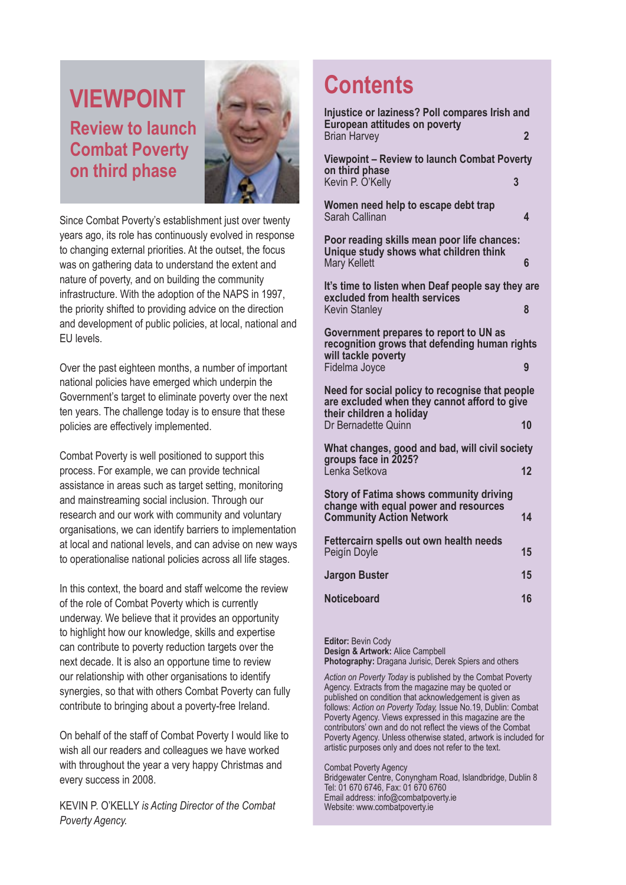### **VIEWPOINT Review to launch Combat Poverty on third phase**



Since Combat Poverty's establishment just over twenty years ago, its role has continuously evolved in response to changing external priorities. At the outset, the focus was on gathering data to understand the extent and nature of poverty, and on building the community infrastructure. With the adoption of the NAPS in 1997, the priority shifted to providing advice on the direction and development of public policies, at local, national and EU levels.

Over the past eighteen months, a number of important national policies have emerged which underpin the Government's target to eliminate poverty over the next ten years. The challenge today is to ensure that these policies are effectively implemented.

Combat Poverty is well positioned to support this process. For example, we can provide technical assistance in areas such as target setting, monitoring and mainstreaming social inclusion. Through our research and our work with community and voluntary organisations, we can identify barriers to implementation at local and national levels, and can advise on new ways to operationalise national policies across all life stages.

In this context, the board and staff welcome the review of the role of Combat Poverty which is currently underway. We believe that it provides an opportunity to highlight how our knowledge, skills and expertise can contribute to poverty reduction targets over the next decade. It is also an opportune time to review our relationship with other organisations to identify synergies, so that with others Combat Poverty can fully contribute to bringing about a poverty-free Ireland.

On behalf of the staff of Combat Poverty I would like to wish all our readers and colleagues we have worked with throughout the year a very happy Christmas and every success in 2008.

KEVIN P. O'KELLY *is Acting Director of the Combat Poverty Agency.*

### **Contents**

| Injustice or laziness? Poll compares Irish and<br><b>European attitudes on poverty</b><br><b>Brian Harvey</b>               | 2  |  |
|-----------------------------------------------------------------------------------------------------------------------------|----|--|
| <b>Viewpoint - Review to launch Combat Poverty</b><br>on third phase<br>Kevin P. O'Kelly                                    | 3  |  |
| Women need help to escape debt trap<br>Sarah Callinan                                                                       | 4  |  |
| Poor reading skills mean poor life chances:<br>Unique study shows what children think<br>Mary Kellett                       | 6  |  |
| It's time to listen when Deaf people say they are<br>excluded from health services<br><b>Kevin Stanley</b>                  | 8  |  |
| Government prepares to report to UN as<br>recognition grows that defending human rights<br>will tackle poverty              |    |  |
| Fidelma Joyce                                                                                                               | 9  |  |
| Need for social policy to recognise that people<br>are excluded when they cannot afford to give<br>their children a holiday |    |  |
| Dr Bernadette Quinn                                                                                                         | 10 |  |
| What changes, good and bad, will civil society<br>groups face in 2025?                                                      |    |  |
| Ľenka Setkova                                                                                                               | 12 |  |
| <b>Story of Fatima shows community driving</b><br>change with equal power and resources<br><b>Community Action Network</b>  | 14 |  |
| Fettercairn spells out own health needs<br>Peigín Doyle                                                                     | 15 |  |
| <b>Jargon Buster</b>                                                                                                        | 15 |  |
| <b>Noticeboard</b>                                                                                                          | 16 |  |
|                                                                                                                             |    |  |

**Editor:** Bevin Cody **Design & Artwork:** Alice Campbell **Photography:** Dragana Jurisic, Derek Spiers and others

*Action on Poverty Today* is published by the Combat Poverty Agency. Extracts from the magazine may be quoted or published on condition that acknowledgement is given as follows: *Action on Poverty Today,* Issue No.19, Dublin: Combat Poverty Agency. Views expressed in this magazine are the contributors' own and do not reflect the views of the Combat Poverty Agency. Unless otherwise stated, artwork is included for artistic purposes only and does not refer to the text.

Combat Poverty Agency Bridgewater Centre, Conyngham Road, Islandbridge, Dublin 8 Tel: 01 670 6746, Fax: 01 670 6760 Email address: info@combatpoverty.ie Website: www.combatpoverty.ie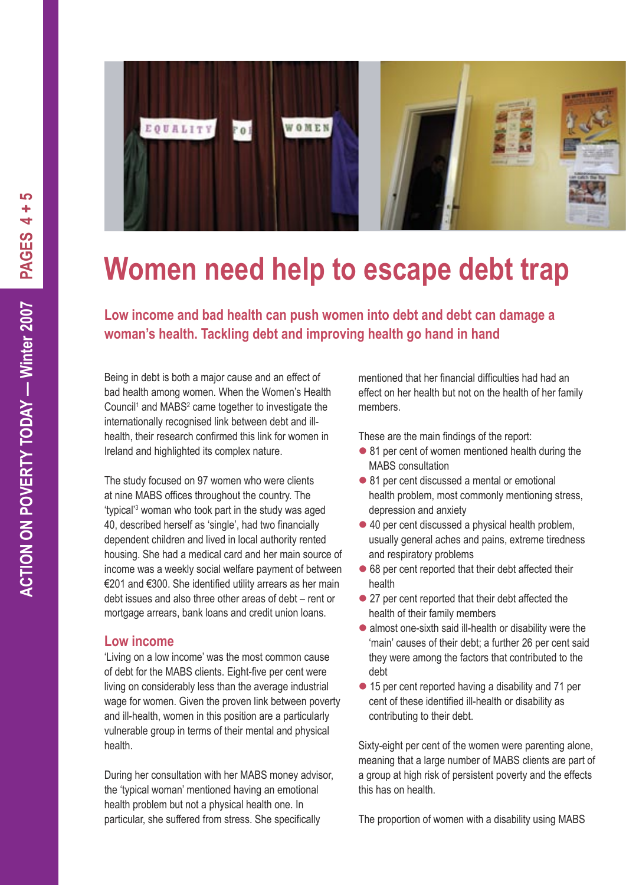

## **Women need help to escape debt trap**

**Low income and bad health can push women into debt and debt can damage a woman's health. Tackling debt and improving health go hand in hand**

Being in debt is both a major cause and an effect of bad health among women. When the Women's Health Council<sup>1</sup> and MABS<sup>2</sup> came together to investigate the internationally recognised link between debt and illhealth, their research confirmed this link for women in Ireland and highlighted its complex nature.

The study focused on 97 women who were clients at nine MABS offices throughout the country. The 'typical'3 woman who took part in the study was aged 40, described herself as 'single', had two financially dependent children and lived in local authority rented housing. She had a medical card and her main source of income was a weekly social welfare payment of between €201 and €300. She identified utility arrears as her main debt issues and also three other areas of debt – rent or mortgage arrears, bank loans and credit union loans.

#### **Low income**

'Living on a low income' was the most common cause of debt for the MABS clients. Eight-five per cent were living on considerably less than the average industrial wage for women. Given the proven link between poverty and ill-health, women in this position are a particularly vulnerable group in terms of their mental and physical health.

During her consultation with her MABS money advisor, the 'typical woman' mentioned having an emotional health problem but not a physical health one. In particular, she suffered from stress. She specifically

mentioned that her financial difficulties had had an effect on her health but not on the health of her family members.

These are the main findings of the report:

- 81 per cent of women mentioned health during the MABS consultation
- 81 per cent discussed a mental or emotional health problem, most commonly mentioning stress, depression and anxiety
- 40 per cent discussed a physical health problem, usually general aches and pains, extreme tiredness and respiratory problems
- 68 per cent reported that their debt affected their health
- 27 per cent reported that their debt affected the health of their family members
- almost one-sixth said ill-health or disability were the 'main' causes of their debt; a further 26 per cent said they were among the factors that contributed to the debt
- 15 per cent reported having a disability and 71 per cent of these identified ill-health or disability as contributing to their debt.

Sixty-eight per cent of the women were parenting alone, meaning that a large number of MABS clients are part of a group at high risk of persistent poverty and the effects this has on health.

The proportion of women with a disability using MABS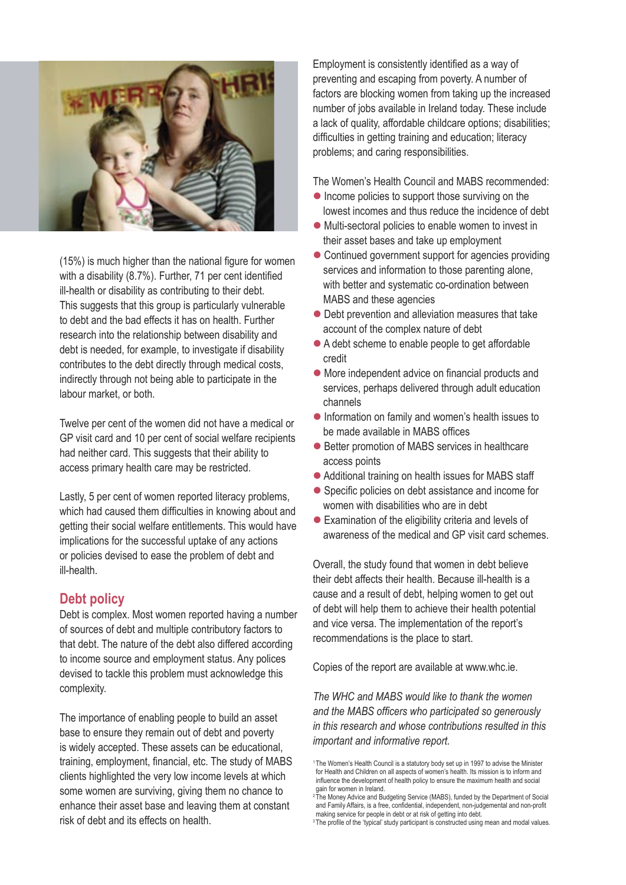

(15%) is much higher than the national figure for women with a disability (8.7%). Further, 71 per cent identified ill-health or disability as contributing to their debt. This suggests that this group is particularly vulnerable to debt and the bad effects it has on health. Further research into the relationship between disability and debt is needed, for example, to investigate if disability contributes to the debt directly through medical costs, indirectly through not being able to participate in the labour market, or both.

Twelve per cent of the women did not have a medical or GP visit card and 10 per cent of social welfare recipients had neither card. This suggests that their ability to access primary health care may be restricted.

Lastly, 5 per cent of women reported literacy problems, which had caused them difficulties in knowing about and getting their social welfare entitlements. This would have implications for the successful uptake of any actions or policies devised to ease the problem of debt and ill-health.

#### **Debt policy**

Debt is complex. Most women reported having a number of sources of debt and multiple contributory factors to that debt. The nature of the debt also differed according to income source and employment status. Any polices devised to tackle this problem must acknowledge this complexity.

The importance of enabling people to build an asset base to ensure they remain out of debt and poverty is widely accepted. These assets can be educational, training, employment, financial, etc. The study of MABS clients highlighted the very low income levels at which some women are surviving, giving them no chance to enhance their asset base and leaving them at constant risk of debt and its effects on health.

Employment is consistently identified as a way of preventing and escaping from poverty. A number of factors are blocking women from taking up the increased number of jobs available in Ireland today. These include a lack of quality, affordable childcare options; disabilities; difficulties in getting training and education; literacy problems; and caring responsibilities.

The Women's Health Council and MABS recommended:

- $\bullet$  Income policies to support those surviving on the lowest incomes and thus reduce the incidence of debt
- Multi-sectoral policies to enable women to invest in their asset bases and take up employment
- Continued government support for agencies providing services and information to those parenting alone, with better and systematic co-ordination between MABS and these agencies
- Debt prevention and alleviation measures that take account of the complex nature of debt
- A debt scheme to enable people to get affordable credit
- More independent advice on financial products and services, perhaps delivered through adult education channels
- Information on family and women's health issues to be made available in MABS offices
- Better promotion of MABS services in healthcare access points
- Additional training on health issues for MABS staff
- Specific policies on debt assistance and income for women with disabilities who are in debt
- Examination of the eligibility criteria and levels of awareness of the medical and GP visit card schemes.

Overall, the study found that women in debt believe their debt affects their health. Because ill-health is a cause and a result of debt, helping women to get out of debt will help them to achieve their health potential and vice versa. The implementation of the report's recommendations is the place to start.

Copies of the report are available at www.whc.ie.

*The WHC and MABS would like to thank the women and the MABS officers who participated so generously in this research and whose contributions resulted in this important and informative report.*

<sup>&</sup>lt;sup>1</sup> The Women's Health Council is a statutory body set up in 1997 to advise the Minister for Health and Children on all aspects of women's health. Its mission is to inform and influence the development of health policy to ensure the maximum health and social gain for women in Ireland.

<sup>&</sup>lt;sup>2</sup> The Money Advice and Budgeting Service (MABS), funded by the Department of Social and Family Affairs, is a free, confidential, independent, non-judgemental and non-profit making service for people in debt or at risk of getting into debt.

<sup>&</sup>lt;sup>3</sup> The profile of the 'typical' study participant is constructed using mean and modal values.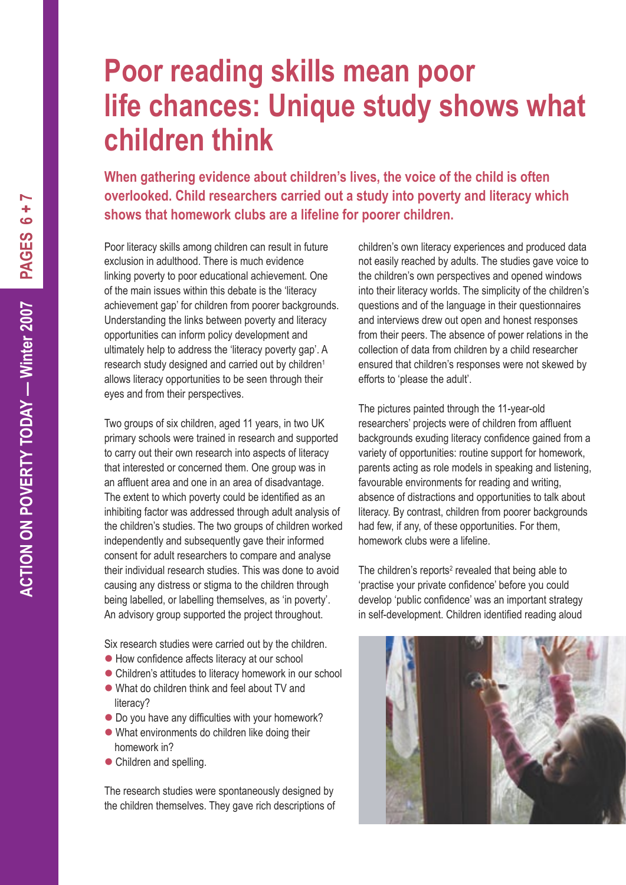### **Poor reading skills mean poor life chances: Unique study shows what children think**

**When gathering evidence about children's lives, the voice of the child is often overlooked. Child researchers carried out a study into poverty and literacy which shows that homework clubs are a lifeline for poorer children.**

Poor literacy skills among children can result in future exclusion in adulthood. There is much evidence linking poverty to poor educational achievement. One of the main issues within this debate is the 'literacy achievement gap' for children from poorer backgrounds. Understanding the links between poverty and literacy opportunities can inform policy development and ultimately help to address the 'literacy poverty gap'. A research study designed and carried out by children<sup>1</sup> allows literacy opportunities to be seen through their eyes and from their perspectives.

Two groups of six children, aged 11 years, in two UK primary schools were trained in research and supported to carry out their own research into aspects of literacy that interested or concerned them. One group was in an affluent area and one in an area of disadvantage. The extent to which poverty could be identified as an inhibiting factor was addressed through adult analysis of the children's studies. The two groups of children worked independently and subsequently gave their informed consent for adult researchers to compare and analyse their individual research studies. This was done to avoid causing any distress or stigma to the children through being labelled, or labelling themselves, as 'in poverty'. An advisory group supported the project throughout.

Six research studies were carried out by the children.

- How confidence affects literacy at our school
- Children's attitudes to literacy homework in our school
- What do children think and feel about TV and literacy?
- $\bullet$  Do you have any difficulties with your homework?
- What environments do children like doing their homework in?
- Children and spelling.

The research studies were spontaneously designed by the children themselves. They gave rich descriptions of children's own literacy experiences and produced data not easily reached by adults. The studies gave voice to the children's own perspectives and opened windows into their literacy worlds. The simplicity of the children's questions and of the language in their questionnaires and interviews drew out open and honest responses from their peers. The absence of power relations in the collection of data from children by a child researcher ensured that children's responses were not skewed by efforts to 'please the adult'.

The pictures painted through the 11-year-old researchers' projects were of children from affluent backgrounds exuding literacy confidence gained from a variety of opportunities: routine support for homework, parents acting as role models in speaking and listening, favourable environments for reading and writing, absence of distractions and opportunities to talk about literacy. By contrast, children from poorer backgrounds had few, if any, of these opportunities. For them, homework clubs were a lifeline.

The children's reports $2$  revealed that being able to 'practise your private confidence' before you could develop 'public confidence' was an important strategy in self-development. Children identified reading aloud

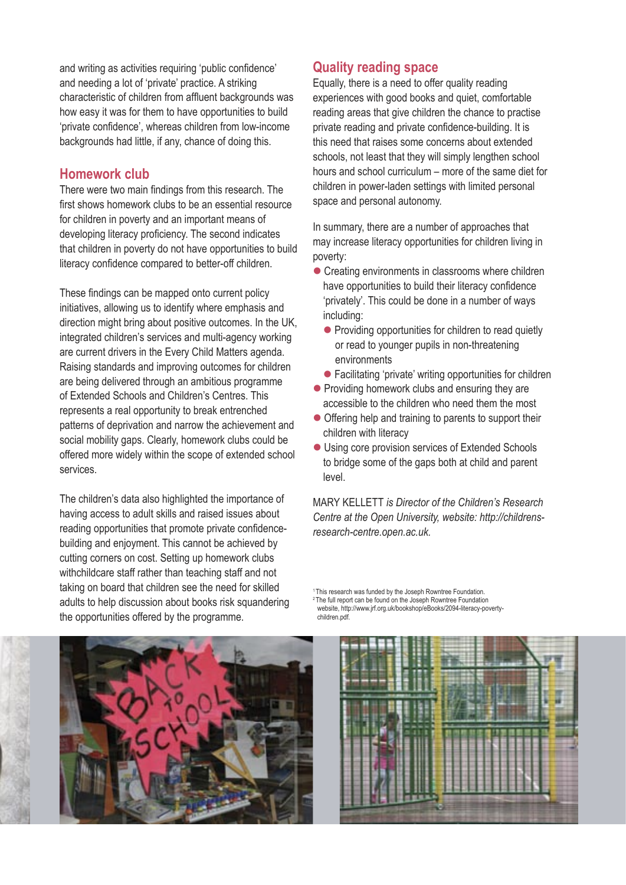and writing as activities requiring 'public confidence' and needing a lot of 'private' practice. A striking characteristic of children from affluent backgrounds was how easy it was for them to have opportunities to build 'private confidence', whereas children from low-income backgrounds had little, if any, chance of doing this.

#### **Homework club**

There were two main findings from this research. The first shows homework clubs to be an essential resource for children in poverty and an important means of developing literacy proficiency. The second indicates that children in poverty do not have opportunities to build literacy confidence compared to better-off children.

These findings can be mapped onto current policy initiatives, allowing us to identify where emphasis and direction might bring about positive outcomes. In the UK, integrated children's services and multi-agency working are current drivers in the Every Child Matters agenda. Raising standards and improving outcomes for children are being delivered through an ambitious programme of Extended Schools and Children's Centres. This represents a real opportunity to break entrenched patterns of deprivation and narrow the achievement and social mobility gaps. Clearly, homework clubs could be offered more widely within the scope of extended school services.

The children's data also highlighted the importance of having access to adult skills and raised issues about reading opportunities that promote private confidencebuilding and enjoyment. This cannot be achieved by cutting corners on cost. Setting up homework clubs withchildcare staff rather than teaching staff and not taking on board that children see the need for skilled adults to help discussion about books risk squandering the opportunities offered by the programme.

#### **Quality reading space**

Equally, there is a need to offer quality reading experiences with good books and quiet, comfortable reading areas that give children the chance to practise private reading and private confidence-building. It is this need that raises some concerns about extended schools, not least that they will simply lengthen school hours and school curriculum – more of the same diet for children in power-laden settings with limited personal space and personal autonomy.

In summary, there are a number of approaches that may increase literacy opportunities for children living in poverty:

- Creating environments in classrooms where children have opportunities to build their literacy confidence 'privately'. This could be done in a number of ways including:
	- **•** Providing opportunities for children to read quietly or read to younger pupils in non-threatening environments
	- Facilitating 'private' writing opportunities for children
- Providing homework clubs and ensuring they are accessible to the children who need them the most
- Offering help and training to parents to support their children with literacy
- Using core provision services of Extended Schools to bridge some of the gaps both at child and parent level.

MARY KELLETT *is Director of the Children's Research Centre at the Open University, website: http://childrensresearch-centre.open.ac.uk.*

<sup>1</sup> This research was funded by the Joseph Rowntree Foundation.

2 The full report can be found on the Joseph Rowntree Foundation website, http://www.jrf.org.uk/bookshop/eBooks/2094-literacy-povertychildren.pdf.



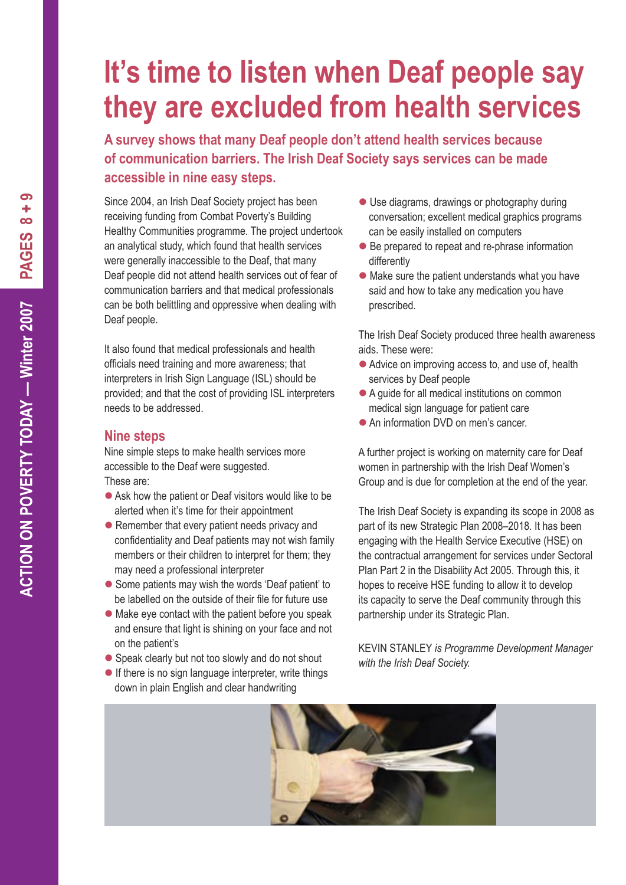## **It's time to listen when Deaf people say they are excluded from health services**

**A survey shows that many Deaf people don't attend health services because of communication barriers. The Irish Deaf Society says services can be made accessible in nine easy steps.**

Since 2004, an Irish Deaf Society project has been receiving funding from Combat Poverty's Building Healthy Communities programme. The project undertook an analytical study, which found that health services were generally inaccessible to the Deaf, that many Deaf people did not attend health services out of fear of communication barriers and that medical professionals can be both belittling and oppressive when dealing with Deaf people.

It also found that medical professionals and health officials need training and more awareness; that interpreters in Irish Sign Language (ISL) should be provided; and that the cost of providing ISL interpreters needs to be addressed.

#### **Nine steps**

Nine simple steps to make health services more accessible to the Deaf were suggested. These are:

- Ask how the patient or Deaf visitors would like to be alerted when it's time for their appointment
- Remember that every patient needs privacy and confidentiality and Deaf patients may not wish family members or their children to interpret for them; they may need a professional interpreter
- Some patients may wish the words 'Deaf patient' to be labelled on the outside of their file for future use
- Make eye contact with the patient before you speak and ensure that light is shining on your face and not on the patient's
- Speak clearly but not too slowly and do not shout
- $\bullet$  If there is no sign language interpreter, write things down in plain English and clear handwriting
- Use diagrams, drawings or photography during conversation; excellent medical graphics programs can be easily installed on computers
- Be prepared to repeat and re-phrase information differently
- Make sure the patient understands what you have said and how to take any medication you have prescribed.

The Irish Deaf Society produced three health awareness aids. These were:

- Advice on improving access to, and use of, health services by Deaf people
- A guide for all medical institutions on common medical sign language for patient care
- An information DVD on men's cancer.

A further project is working on maternity care for Deaf women in partnership with the Irish Deaf Women's Group and is due for completion at the end of the year.

The Irish Deaf Society is expanding its scope in 2008 as part of its new Strategic Plan 2008–2018. It has been engaging with the Health Service Executive (HSE) on the contractual arrangement for services under Sectoral Plan Part 2 in the Disability Act 2005. Through this, it hopes to receive HSE funding to allow it to develop its capacity to serve the Deaf community through this partnership under its Strategic Plan.

KEVIN STANLEY *is Programme Development Manager with the Irish Deaf Society.*



တ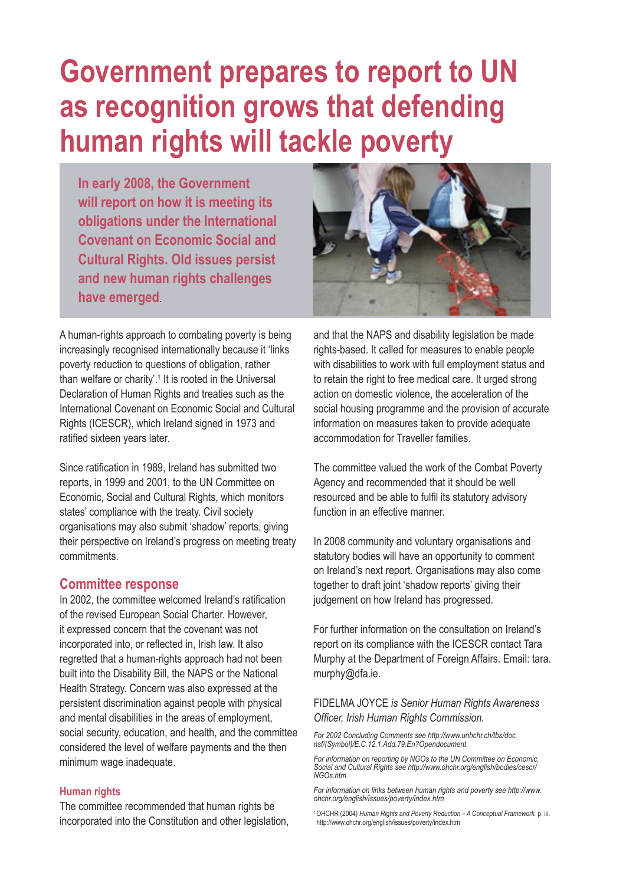## **Government prepares to report to UN as recognition grows that defending human rights will tackle poverty**

**In early 2008, the Government will report on how it is meeting its obligations under the International Covenant on Economic Social and Cultural Rights. Old issues persist and new human rights challenges have emerged**.



A human-rights approach to combating poverty is being increasingly recognised internationally because it 'links poverty reduction to questions of obligation, rather than welfare or charity'.<sup>1</sup> It is rooted in the Universal Declaration of Human Rights and treaties such as the International Covenant on Economic Social and Cultural Rights (ICESCR), which Ireland signed in 1973 and ratified sixteen years later.

Since ratification in 1989, Ireland has submitted two reports, in 1999 and 2001, to the UN Committee on Economic, Social and Cultural Rights, which monitors states' compliance with the treaty. Civil society organisations may also submit 'shadow' reports, giving their perspective on Ireland's progress on meeting treaty commitments.

#### **Committee response**

In 2002, the committee welcomed Ireland's ratification of the revised European Social Charter. However, it expressed concern that the covenant was not incorporated into, or reflected in, Irish law. It also regretted that a human-rights approach had not been built into the Disability Bill, the NAPS or the National Health Strategy. Concern was also expressed at the persistent discrimination against people with physical and mental disabilities in the areas of employment, social security, education, and health, and the committee considered the level of welfare payments and the then minimum wage inadequate.

#### **Human rights**

The committee recommended that human rights be incorporated into the Constitution and other legislation, and that the NAPS and disability legislation be made rights-based. It called for measures to enable people with disabilities to work with full employment status and to retain the right to free medical care. It urged strong action on domestic violence, the acceleration of the social housing programme and the provision of accurate information on measures taken to provide adequate accommodation for Traveller families.

The committee valued the work of the Combat Poverty Agency and recommended that it should be well resourced and be able to fulfil its statutory advisory function in an effective manner.

In 2008 community and voluntary organisations and statutory bodies will have an opportunity to comment on Ireland's next report. Organisations may also come together to draft joint 'shadow reports' giving their judgement on how Ireland has progressed.

For further information on the consultation on Ireland's report on its compliance with the ICESCR contact Tara Murphy at the Department of Foreign Affairs. Email: tara. murphy@dfa.ie.

#### FIDELMA JOYCE *is Senior Human Rights Awareness Officer, Irish Human Rights Commission.*

*For 2002 Concluding Comments see http://www.unhchr.ch/tbs/doc. nsf/(Symbol)/E.C.12.1.Add.79.En?Opendocument.*

*For information on reporting by NGOs to the UN Committee on Economic, Social and Cultural Rights see http://www.ohchr.org/english/bodies/cescr/ NGOs.htm*

*For information on links between human rights and poverty see http://www. ohchr.org/english/issues/poverty/index.htm*

1 OHCHR (2004) *Human Rights and Poverty Reduction – A Conceptual Framework.* p. iii. http://www.ohchr.org/english/issues/poverty/index.htm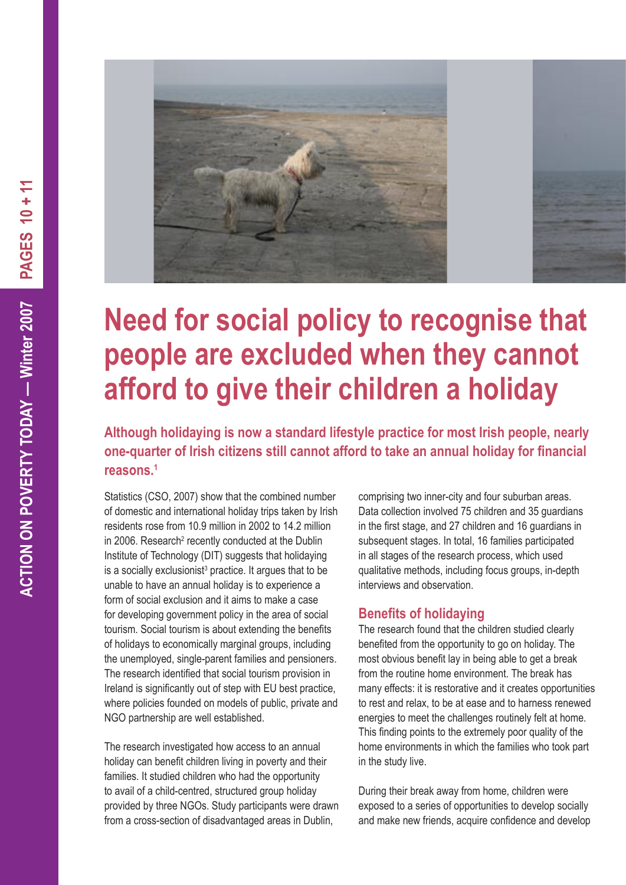

## **Need for social policy to recognise that people are excluded when they cannot afford to give their children a holiday**

**Although holidaying is now a standard lifestyle practice for most Irish people, nearly one-quarter of Irish citizens still cannot afford to take an annual holiday for financial reasons.1**

Statistics (CSO, 2007) show that the combined number of domestic and international holiday trips taken by Irish residents rose from 10.9 million in 2002 to 14.2 million in 2006. Research<sup>2</sup> recently conducted at the Dublin Institute of Technology (DIT) suggests that holidaying is a socially exclusionist<sup>3</sup> practice. It argues that to be unable to have an annual holiday is to experience a form of social exclusion and it aims to make a case for developing government policy in the area of social tourism. Social tourism is about extending the benefits of holidays to economically marginal groups, including the unemployed, single-parent families and pensioners. The research identified that social tourism provision in Ireland is significantly out of step with EU best practice, where policies founded on models of public, private and NGO partnership are well established.

The research investigated how access to an annual holiday can benefit children living in poverty and their families. It studied children who had the opportunity to avail of a child-centred, structured group holiday provided by three NGOs. Study participants were drawn from a cross-section of disadvantaged areas in Dublin,

comprising two inner-city and four suburban areas. Data collection involved 75 children and 35 guardians in the first stage, and 27 children and 16 guardians in subsequent stages. In total, 16 families participated in all stages of the research process, which used qualitative methods, including focus groups, in-depth interviews and observation.

#### **Benefits of holidaying**

The research found that the children studied clearly benefited from the opportunity to go on holiday. The most obvious benefit lay in being able to get a break from the routine home environment. The break has many effects: it is restorative and it creates opportunities to rest and relax, to be at ease and to harness renewed energies to meet the challenges routinely felt at home. This finding points to the extremely poor quality of the home environments in which the families who took part in the study live.

During their break away from home, children were exposed to a series of opportunities to develop socially and make new friends, acquire confidence and develop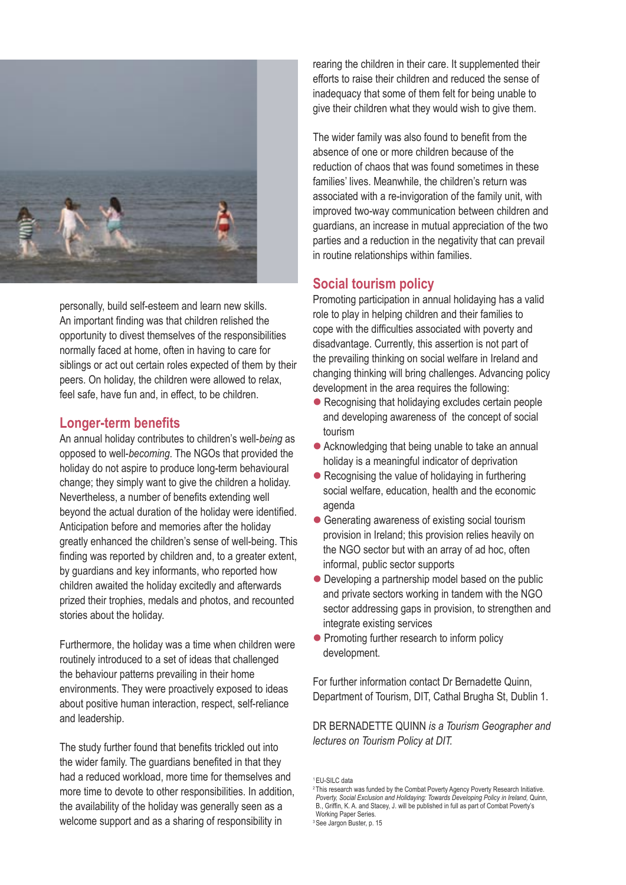

personally, build self-esteem and learn new skills. An important finding was that children relished the opportunity to divest themselves of the responsibilities normally faced at home, often in having to care for siblings or act out certain roles expected of them by their peers. On holiday, the children were allowed to relax, feel safe, have fun and, in effect, to be children.

#### **Longer-term benefits**

An annual holiday contributes to children's well-*being* as opposed to well-*becoming*. The NGOs that provided the holiday do not aspire to produce long-term behavioural change; they simply want to give the children a holiday. Nevertheless, a number of benefits extending well beyond the actual duration of the holiday were identified. Anticipation before and memories after the holiday greatly enhanced the children's sense of well-being. This finding was reported by children and, to a greater extent, by guardians and key informants, who reported how children awaited the holiday excitedly and afterwards prized their trophies, medals and photos, and recounted stories about the holiday.

Furthermore, the holiday was a time when children were routinely introduced to a set of ideas that challenged the behaviour patterns prevailing in their home environments. They were proactively exposed to ideas about positive human interaction, respect, self-reliance and leadership.

The study further found that benefits trickled out into the wider family. The guardians benefited in that they had a reduced workload, more time for themselves and more time to devote to other responsibilities. In addition, the availability of the holiday was generally seen as a welcome support and as a sharing of responsibility in

rearing the children in their care. It supplemented their efforts to raise their children and reduced the sense of inadequacy that some of them felt for being unable to give their children what they would wish to give them.

The wider family was also found to benefit from the absence of one or more children because of the reduction of chaos that was found sometimes in these families' lives. Meanwhile, the children's return was associated with a re-invigoration of the family unit, with improved two-way communication between children and guardians, an increase in mutual appreciation of the two parties and a reduction in the negativity that can prevail in routine relationships within families.

#### **Social tourism policy**

Promoting participation in annual holidaying has a valid role to play in helping children and their families to cope with the difficulties associated with poverty and disadvantage. Currently, this assertion is not part of the prevailing thinking on social welfare in Ireland and changing thinking will bring challenges. Advancing policy development in the area requires the following:

- Recognising that holidaying excludes certain people and developing awareness of the concept of social tourism
- Acknowledging that being unable to take an annual holiday is a meaningful indicator of deprivation
- Recognising the value of holidaying in furthering social welfare, education, health and the economic agenda
- Generating awareness of existing social tourism provision in Ireland; this provision relies heavily on the NGO sector but with an array of ad hoc, often informal, public sector supports
- Developing a partnership model based on the public and private sectors working in tandem with the NGO sector addressing gaps in provision, to strengthen and integrate existing services
- Promoting further research to inform policy development.

For further information contact Dr Bernadette Quinn, Department of Tourism, DIT, Cathal Brugha St, Dublin 1.

DR BERNADETTE QUINN *is a Tourism Geographer and lectures on Tourism Policy at DIT.*

1 EU-SILC data

<sup>&</sup>lt;sup>2</sup> This research was funded by the Combat Poverty Agency Poverty Research Initiative. *Poverty, Social Exclusion and Holidaying: Towards Developing Policy in Ireland, Qu*inn,<br>B., Griffin, K. A. and Stacey, J. will be published in full as part of Combat Poverty's Working Paper Series.

<sup>&</sup>lt;sup>3</sup> See Jargon Buster, p. 15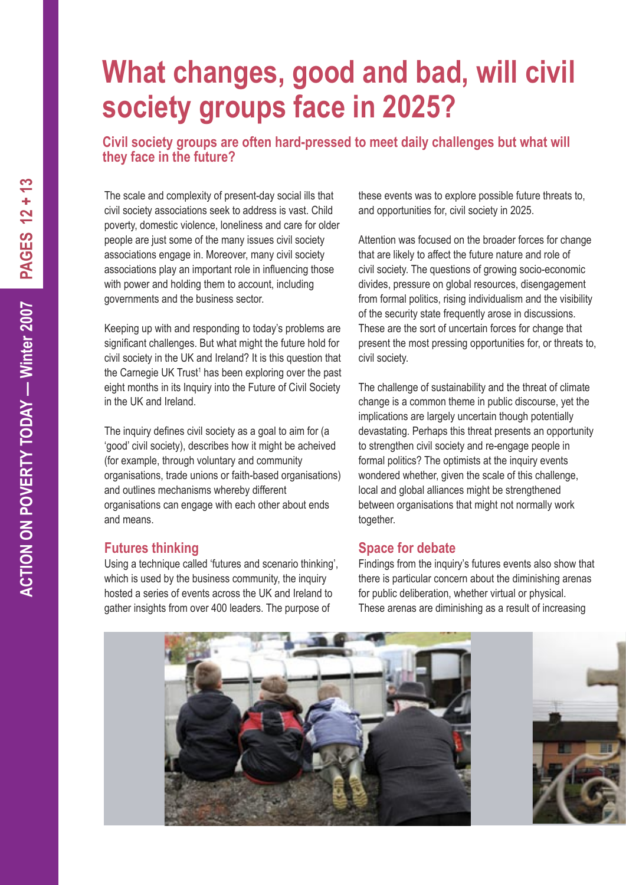## **What changes, good and bad, will civil society groups face in 2025?**

**Civil society groups are often hard-pressed to meet daily challenges but what will they face in the future?**

The scale and complexity of present-day social ills that civil society associations seek to address is vast. Child poverty, domestic violence, loneliness and care for older people are just some of the many issues civil society associations engage in. Moreover, many civil society associations play an important role in influencing those with power and holding them to account, including governments and the business sector.

Keeping up with and responding to today's problems are significant challenges. But what might the future hold for civil society in the UK and Ireland? It is this question that the Carnegie UK Trust<sup>1</sup> has been exploring over the past eight months in its Inquiry into the Future of Civil Society in the UK and Ireland.

The inquiry defines civil society as a goal to aim for (a 'good' civil society), describes how it might be acheived (for example, through voluntary and community organisations, trade unions or faith-based organisations) and outlines mechanisms whereby different organisations can engage with each other about ends and means.

#### **Futures thinking**

Using a technique called 'futures and scenario thinking', which is used by the business community, the inquiry hosted a series of events across the UK and Ireland to gather insights from over 400 leaders. The purpose of

these events was to explore possible future threats to, and opportunities for, civil society in 2025.

Attention was focused on the broader forces for change that are likely to affect the future nature and role of civil society. The questions of growing socio-economic divides, pressure on global resources, disengagement from formal politics, rising individualism and the visibility of the security state frequently arose in discussions. These are the sort of uncertain forces for change that present the most pressing opportunities for, or threats to, civil society.

The challenge of sustainability and the threat of climate change is a common theme in public discourse, yet the implications are largely uncertain though potentially devastating. Perhaps this threat presents an opportunity to strengthen civil society and re-engage people in formal politics? The optimists at the inquiry events wondered whether, given the scale of this challenge, local and global alliances might be strengthened between organisations that might not normally work together.

#### **Space for debate**

Findings from the inquiry's futures events also show that there is particular concern about the diminishing arenas for public deliberation, whether virtual or physical. These arenas are diminishing as a result of increasing

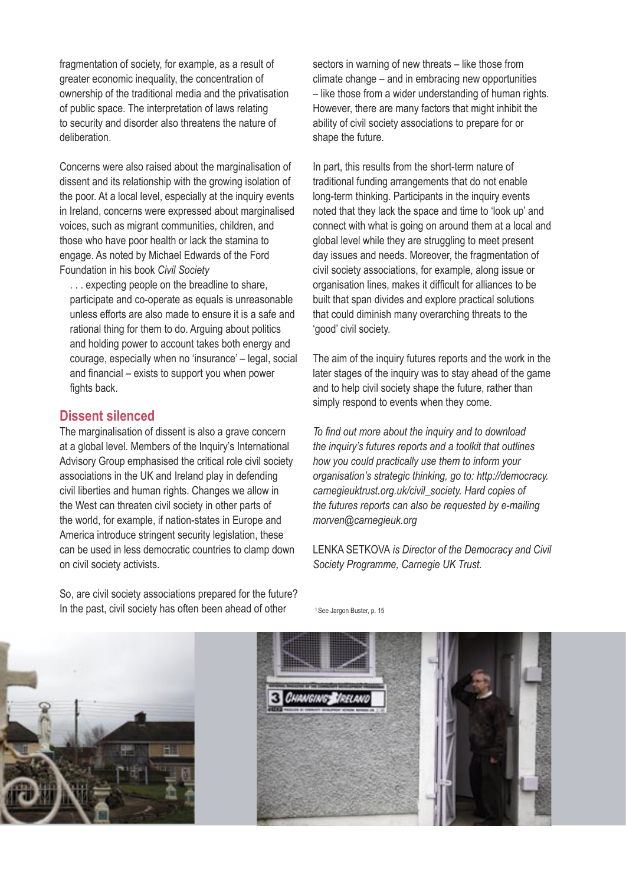fragmentation of society, for example, as a result of greater economic inequality, the concentration of ownership of the traditional media and the privatisation of public space. The interpretation of laws relating to security and disorder also threatens the nature of deliberation.

Concerns were also raised about the marginalisation of dissent and its relationship with the growing isolation of the poor. At a local level, especially at the inquiry events in Ireland, concerns were expressed about marginalised voices, such as migrant communities, children, and those who have poor health or lack the stamina to engage. As noted by Michael Edwards of the Ford Foundation in his book *Civil Society*

. . . expecting people on the breadline to share, participate and co-operate as equals is unreasonable unless efforts are also made to ensure it is a safe and rational thing for them to do. Arguing about politics and holding power to account takes both energy and courage, especially when no 'insurance' – legal, social and financial – exists to support you when power fights back.

#### **Dissent silenced**

The marginalisation of dissent is also a grave concern at a global level. Members of the Inquiry's International Advisory Group emphasised the critical role civil society associations in the UK and Ireland play in defending civil liberties and human rights. Changes we allow in the West can threaten civil society in other parts of the world, for example, if nation-states in Europe and America introduce stringent security legislation, these can be used in less democratic countries to clamp down on civil society activists.

So, are civil society associations prepared for the future? In the past, civil society has often been ahead of other

sectors in warning of new threats – like those from climate change – and in embracing new opportunities – like those from a wider understanding of human rights. However, there are many factors that might inhibit the ability of civil society associations to prepare for or shape the future.

In part, this results from the short-term nature of traditional funding arrangements that do not enable long-term thinking. Participants in the inquiry events noted that they lack the space and time to 'look up' and connect with what is going on around them at a local and global level while they are struggling to meet present day issues and needs. Moreover, the fragmentation of civil society associations, for example, along issue or organisation lines, makes it difficult for alliances to be built that span divides and explore practical solutions that could diminish many overarching threats to the 'good' civil society.

The aim of the inquiry futures reports and the work in the later stages of the inquiry was to stay ahead of the game and to help civil society shape the future, rather than simply respond to events when they come.

*To find out more about the inquiry and to download the inquiry's futures reports and a toolkit that outlines how you could practically use them to inform your organisation's strategic thinking, go to: http://democracy. carnegieuktrust.org.uk/civil\_society. Hard copies of the futures reports can also be requested by e-mailing morven@carnegieuk.org*

LENKA SETKOVA *is Director of the Democracy and Civil Society Programme, Carnegie UK Trust.*



<sup>1</sup> See Jargon Buster, p. 15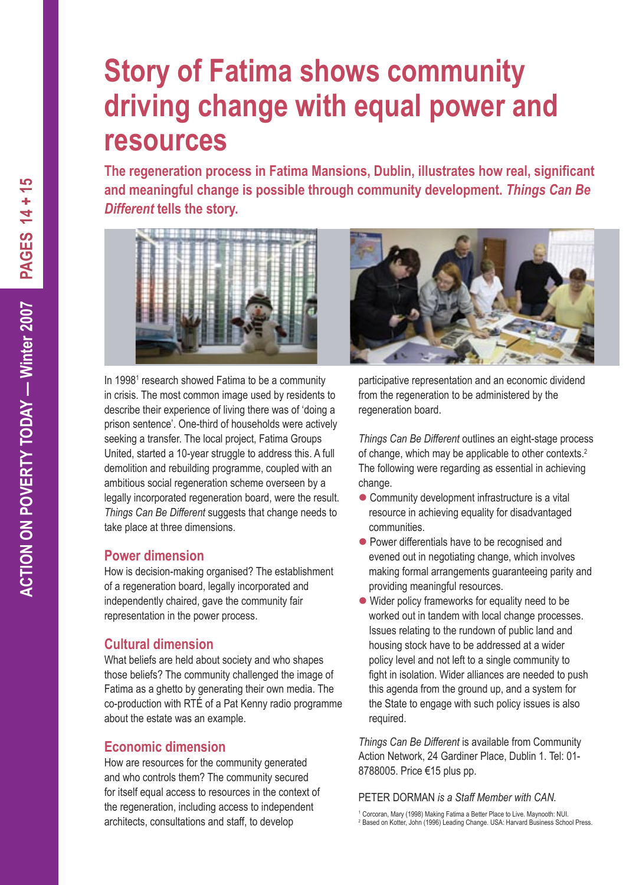### **Story of Fatima shows community driving change with equal power and resources**

**The regeneration process in Fatima Mansions, Dublin, illustrates how real, significant and meaningful change is possible through community development.** *Things Can Be Different* **tells the story.**



In 1998<sup>1</sup> research showed Fatima to be a community in crisis. The most common image used by residents to describe their experience of living there was of 'doing a prison sentence'. One-third of households were actively seeking a transfer. The local project, Fatima Groups United, started a 10-year struggle to address this. A full demolition and rebuilding programme, coupled with an ambitious social regeneration scheme overseen by a legally incorporated regeneration board, were the result. *Things Can Be Different* suggests that change needs to take place at three dimensions.

#### **Power dimension**

How is decision-making organised? The establishment of a regeneration board, legally incorporated and independently chaired, gave the community fair representation in the power process.

#### **Cultural dimension**

What beliefs are held about society and who shapes those beliefs? The community challenged the image of Fatima as a ghetto by generating their own media. The co-production with RTÉ of a Pat Kenny radio programme about the estate was an example.

#### **Economic dimension**

How are resources for the community generated and who controls them? The community secured for itself equal access to resources in the context of the regeneration, including access to independent architects, consultations and staff, to develop



participative representation and an economic dividend from the regeneration to be administered by the regeneration board.

*Things Can Be Different* outlines an eight-stage process of change, which may be applicable to other contexts.<sup>2</sup> The following were regarding as essential in achieving change.

- Community development infrastructure is a vital resource in achieving equality for disadvantaged communities.
- Power differentials have to be recognised and evened out in negotiating change, which involves making formal arrangements guaranteeing parity and providing meaningful resources.
- Wider policy frameworks for equality need to be worked out in tandem with local change processes. Issues relating to the rundown of public land and housing stock have to be addressed at a wider policy level and not left to a single community to fight in isolation. Wider alliances are needed to push this agenda from the ground up, and a system for the State to engage with such policy issues is also required.

*Things Can Be Different* is available from Community Action Network, 24 Gardiner Place, Dublin 1. Tel: 01- 8788005. Price €15 plus pp.

#### PETER DORMAN *is a Staff Member with CAN.*

1 Corcoran, Mary (1998) Making Fatima a Better Place to Live. Maynooth: NUI. <sup>2</sup> Based on Kotter, John (1996) Leading Change. USA: Harvard Business School Press.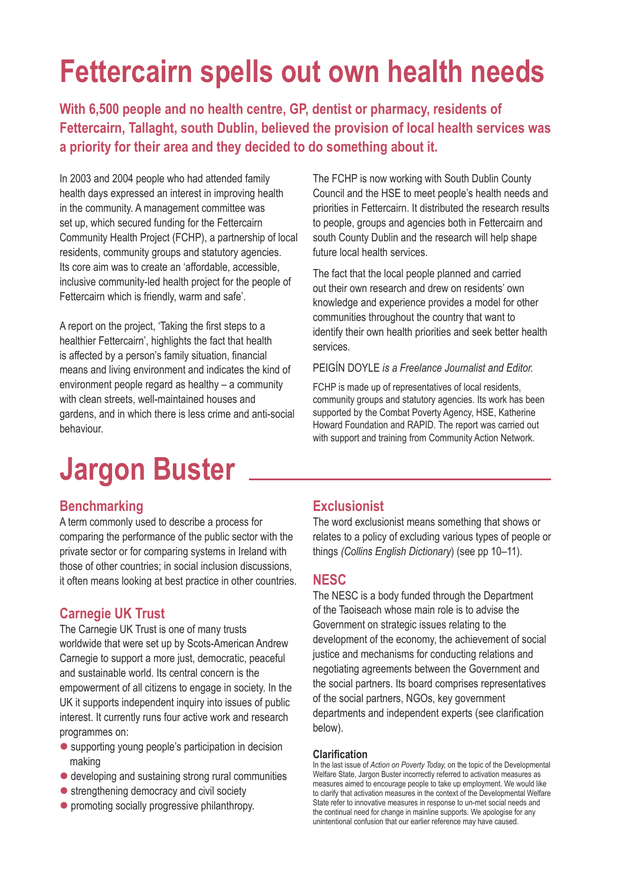## **Fettercairn spells out own health needs**

**With 6,500 people and no health centre, GP, dentist or pharmacy, residents of Fettercairn, Tallaght, south Dublin, believed the provision of local health services was a priority for their area and they decided to do something about it.** 

In 2003 and 2004 people who had attended family health days expressed an interest in improving health in the community. A management committee was set up, which secured funding for the Fettercairn Community Health Project (FCHP), a partnership of local residents, community groups and statutory agencies. Its core aim was to create an 'affordable, accessible, inclusive community-led health project for the people of Fettercairn which is friendly, warm and safe'.

A report on the project, 'Taking the first steps to a healthier Fettercairn', highlights the fact that health is affected by a person's family situation, financial means and living environment and indicates the kind of environment people regard as healthy – a community with clean streets, well-maintained houses and gardens, and in which there is less crime and anti-social behaviour.

#### The FCHP is now working with South Dublin County Council and the HSE to meet people's health needs and priorities in Fettercairn. It distributed the research results to people, groups and agencies both in Fettercairn and south County Dublin and the research will help shape future local health services.

The fact that the local people planned and carried out their own research and drew on residents' own knowledge and experience provides a model for other communities throughout the country that want to identify their own health priorities and seek better health services.

#### PEIGÍN DOYLE *is a Freelance Journalist and Editor.*

FCHP is made up of representatives of local residents. community groups and statutory agencies. Its work has been supported by the Combat Poverty Agency, HSE, Katherine Howard Foundation and RAPID. The report was carried out with support and training from Community Action Network.

## **Jargon Buster**

#### **Benchmarking**

A term commonly used to describe a process for comparing the performance of the public sector with the private sector or for comparing systems in Ireland with those of other countries; in social inclusion discussions, it often means looking at best practice in other countries.

#### **Carnegie UK Trust**

The Carnegie UK Trust is one of many trusts worldwide that were set up by Scots-American Andrew Carnegie to support a more just, democratic, peaceful and sustainable world. Its central concern is the empowerment of all citizens to engage in society. In the UK it supports independent inquiry into issues of public interest. It currently runs four active work and research programmes on:

- supporting young people's participation in decision making
- developing and sustaining strong rural communities
- strengthening democracy and civil society
- **•** promoting socially progressive philanthropy.

#### **Exclusionist**

The word exclusionist means something that shows or relates to a policy of excluding various types of people or things *(Collins English Dictionary*) (see pp 10–11).

#### **NESC**

The NESC is a body funded through the Department of the Taoiseach whose main role is to advise the Government on strategic issues relating to the development of the economy, the achievement of social justice and mechanisms for conducting relations and negotiating agreements between the Government and the social partners. Its board comprises representatives of the social partners, NGOs, key government departments and independent experts (see clarification below).

#### **Clarification**

In the last issue of *Action on Poverty Today,* on the topic of the Developmental Welfare State, Jargon Buster incorrectly referred to activation measures as measures aimed to encourage people to take up employment. We would like to clarify that activation measures in the context of the Developmental Welfare State refer to innovative measures in response to un-met social needs and the continual need for change in mainline supports. We apologise for any unintentional confusion that our earlier reference may have caused.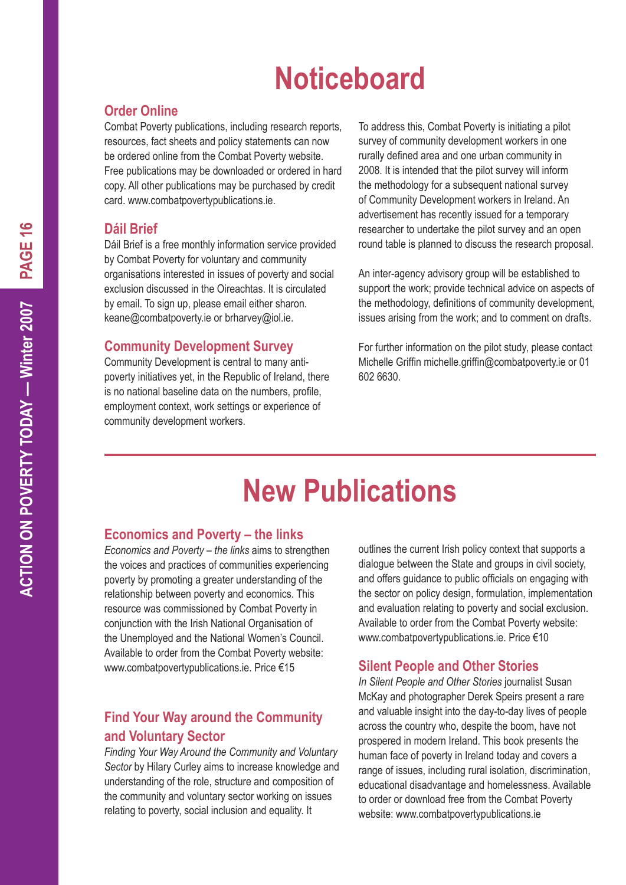## **Noticeboard**

#### **Order Online**

Combat Poverty publications, including research reports, resources, fact sheets and policy statements can now be ordered online from the Combat Poverty website. Free publications may be downloaded or ordered in hard copy. All other publications may be purchased by credit card. www.combatpovertypublications.ie.

#### **Dáil Brief**

Dáil Brief is a free monthly information service provided by Combat Poverty for voluntary and community organisations interested in issues of poverty and social exclusion discussed in the Oireachtas. It is circulated by email. To sign up, please email either sharon. keane@combatpoverty.ie or brharvey@iol.ie.

#### **Community Development Survey**

Community Development is central to many antipoverty initiatives yet, in the Republic of Ireland, there is no national baseline data on the numbers, profile, employment context, work settings or experience of community development workers.

To address this, Combat Poverty is initiating a pilot survey of community development workers in one rurally defined area and one urban community in 2008. It is intended that the pilot survey will inform the methodology for a subsequent national survey of Community Development workers in Ireland. An advertisement has recently issued for a temporary researcher to undertake the pilot survey and an open round table is planned to discuss the research proposal.

An inter-agency advisory group will be established to support the work; provide technical advice on aspects of the methodology, definitions of community development, issues arising from the work; and to comment on drafts.

For further information on the pilot study, please contact Michelle Griffin michelle.griffin@combatpoverty.ie or 01 602 6630.

## **New Publications**

#### **Economics and Poverty – the links**

*Economics and Poverty – the links* aims to strengthen the voices and practices of communities experiencing poverty by promoting a greater understanding of the relationship between poverty and economics. This resource was commissioned by Combat Poverty in conjunction with the Irish National Organisation of the Unemployed and the National Women's Council. Available to order from the Combat Poverty website: www.combatpovertypublications.ie. Price €15

#### **Find Your Way around the Community and Voluntary Sector**

*Finding Your Way Around the Community and Voluntary Sector* by Hilary Curley aims to increase knowledge and understanding of the role, structure and composition of the community and voluntary sector working on issues relating to poverty, social inclusion and equality. It

outlines the current Irish policy context that supports a dialogue between the State and groups in civil society, and offers guidance to public officials on engaging with the sector on policy design, formulation, implementation and evaluation relating to poverty and social exclusion. Available to order from the Combat Poverty website: www.combatpovertypublications.ie. Price €10

#### **Silent People and Other Stories**

*In Silent People and Other Stories* journalist Susan McKay and photographer Derek Speirs present a rare and valuable insight into the day-to-day lives of people across the country who, despite the boom, have not prospered in modern Ireland. This book presents the human face of poverty in Ireland today and covers a range of issues, including rural isolation, discrimination, educational disadvantage and homelessness. Available to order or download free from the Combat Poverty website: www.combatpovertypublications.ie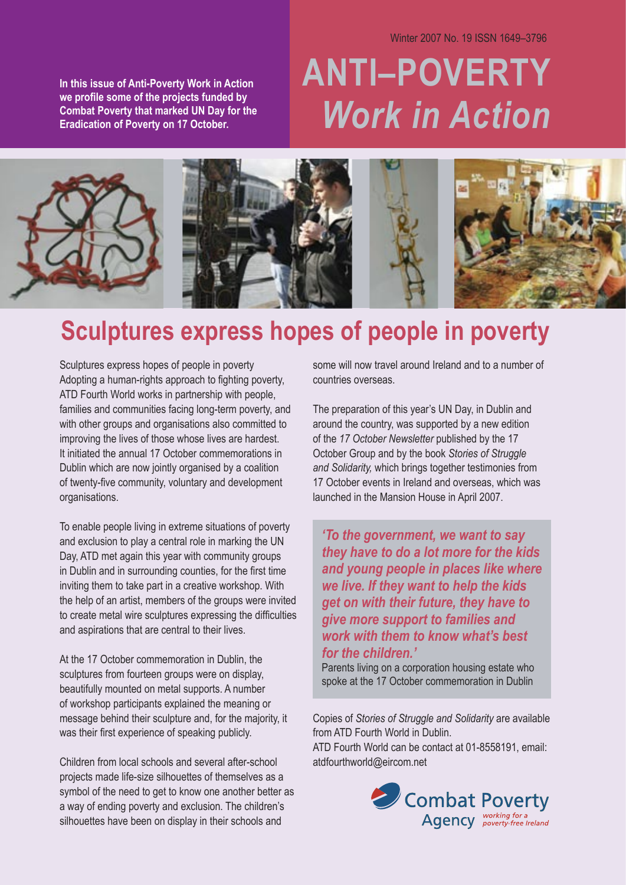Winter 2007 No. 19 ISSN 1649–3796

**In this issue of Anti-Poverty Work in Action we profile some of the projects funded by Combat Poverty that marked UN Day for the Eradication of Poverty on 17 October.**

# **ANTI–POVERTY** *Work in Action*



### **Sculptures express hopes of people in poverty**

Sculptures express hopes of people in poverty Adopting a human-rights approach to fighting poverty, ATD Fourth World works in partnership with people, families and communities facing long-term poverty, and with other groups and organisations also committed to improving the lives of those whose lives are hardest. It initiated the annual 17 October commemorations in Dublin which are now jointly organised by a coalition of twenty-five community, voluntary and development organisations.

To enable people living in extreme situations of poverty and exclusion to play a central role in marking the UN Day, ATD met again this year with community groups in Dublin and in surrounding counties, for the first time inviting them to take part in a creative workshop. With the help of an artist, members of the groups were invited to create metal wire sculptures expressing the difficulties and aspirations that are central to their lives.

At the 17 October commemoration in Dublin, the sculptures from fourteen groups were on display, beautifully mounted on metal supports. A number of workshop participants explained the meaning or message behind their sculpture and, for the majority, it was their first experience of speaking publicly.

Children from local schools and several after-school projects made life-size silhouettes of themselves as a symbol of the need to get to know one another better as a way of ending poverty and exclusion. The children's silhouettes have been on display in their schools and

some will now travel around Ireland and to a number of countries overseas.

The preparation of this year's UN Day, in Dublin and around the country, was supported by a new edition of the *17 October Newsletter* published by the 17 October Group and by the book *Stories of Struggle and Solidarity,* which brings together testimonies from 17 October events in Ireland and overseas, which was launched in the Mansion House in April 2007.

*'To the government, we want to say they have to do a lot more for the kids and young people in places like where we live. If they want to help the kids get on with their future, they have to give more support to families and work with them to know what's best for the children.'* 

Parents living on a corporation housing estate who spoke at the 17 October commemoration in Dublin

Copies of *Stories of Struggle and Solidarity* are available from ATD Fourth World in Dublin.

ATD Fourth World can be contact at 01-8558191, email: atdfourthworld@eircom.net

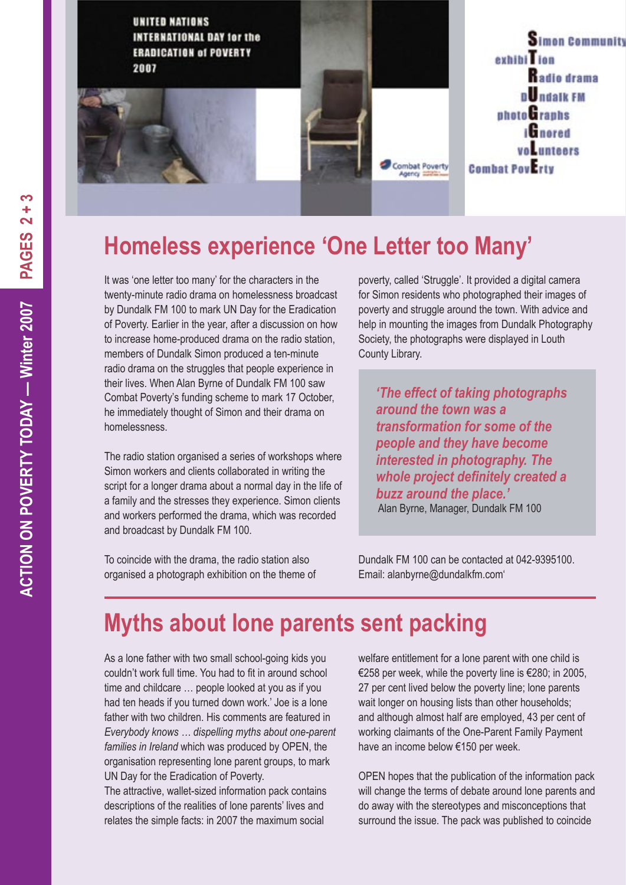

### **Homeless experience 'One Letter too Many'**

It was 'one letter too many' for the characters in the twenty-minute radio drama on homelessness broadcast by Dundalk FM 100 to mark UN Day for the Eradication of Poverty. Earlier in the year, after a discussion on how to increase home-produced drama on the radio station, members of Dundalk Simon produced a ten-minute radio drama on the struggles that people experience in their lives. When Alan Byrne of Dundalk FM 100 saw Combat Poverty's funding scheme to mark 17 October, he immediately thought of Simon and their drama on homelessness.

The radio station organised a series of workshops where Simon workers and clients collaborated in writing the script for a longer drama about a normal day in the life of a family and the stresses they experience. Simon clients and workers performed the drama, which was recorded and broadcast by Dundalk FM 100.

To coincide with the drama, the radio station also organised a photograph exhibition on the theme of poverty, called 'Struggle'. It provided a digital camera for Simon residents who photographed their images of poverty and struggle around the town. With advice and help in mounting the images from Dundalk Photography Society, the photographs were displayed in Louth County Library.

*'The effect of taking photographs around the town was a transformation for some of the people and they have become interested in photography. The whole project definitely created a buzz around the place.'* Alan Byrne, Manager, Dundalk FM 100

Dundalk FM 100 can be contacted at 042-9395100. Email: alanbyrne@dundalkfm.com'

### **Myths about lone parents sent packing**

As a lone father with two small school-going kids you couldn't work full time. You had to fit in around school time and childcare … people looked at you as if you had ten heads if you turned down work.' Joe is a lone father with two children. His comments are featured in *Everybody knows … dispelling myths about one-parent families in Ireland* which was produced by OPEN, the organisation representing lone parent groups, to mark UN Day for the Eradication of Poverty.

The attractive, wallet-sized information pack contains descriptions of the realities of lone parents' lives and relates the simple facts: in 2007 the maximum social

welfare entitlement for a lone parent with one child is €258 per week, while the poverty line is €280; in 2005, 27 per cent lived below the poverty line; lone parents wait longer on housing lists than other households; and although almost half are employed, 43 per cent of working claimants of the One-Parent Family Payment have an income below €150 per week.

OPEN hopes that the publication of the information pack will change the terms of debate around lone parents and do away with the stereotypes and misconceptions that surround the issue. The pack was published to coincide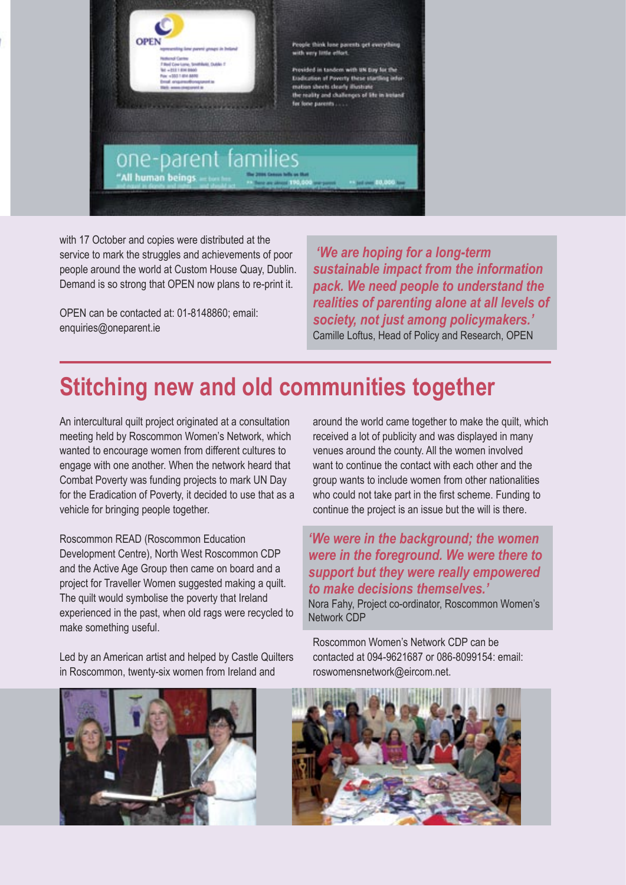

with 17 October and copies were distributed at the service to mark the struggles and achievements of poor people around the world at Custom House Quay, Dublin. Demand is so strong that OPEN now plans to re-print it.

OPEN can be contacted at: 01-8148860; email: enquiries@oneparent.ie

 *'We are hoping for a long-term sustainable impact from the information pack. We need people to understand the realities of parenting alone at all levels of society, not just among policymakers.'*  Camille Loftus, Head of Policy and Research, OPEN

### **Stitching new and old communities together**

An intercultural quilt project originated at a consultation meeting held by Roscommon Women's Network, which wanted to encourage women from different cultures to engage with one another. When the network heard that Combat Poverty was funding projects to mark UN Day for the Eradication of Poverty, it decided to use that as a vehicle for bringing people together.

Roscommon READ (Roscommon Education Development Centre), North West Roscommon CDP and the Active Age Group then came on board and a project for Traveller Women suggested making a quilt. The quilt would symbolise the poverty that Ireland experienced in the past, when old rags were recycled to make something useful.

around the world came together to make the quilt, which received a lot of publicity and was displayed in many venues around the county. All the women involved want to continue the contact with each other and the group wants to include women from other nationalities who could not take part in the first scheme. Funding to continue the project is an issue but the will is there.

*'We were in the background; the women were in the foreground. We were there to support but they were really empowered to make decisions themselves.'* 

Nora Fahy, Project co-ordinator, Roscommon Women's Network CDP

Led by an American artist and helped by Castle Quilters in Roscommon, twenty-six women from Ireland and contacted at 094-9621687 or 086-8099154: email: roswomensnetwork@eircom.net.



Roscommon Women's Network CDP can be